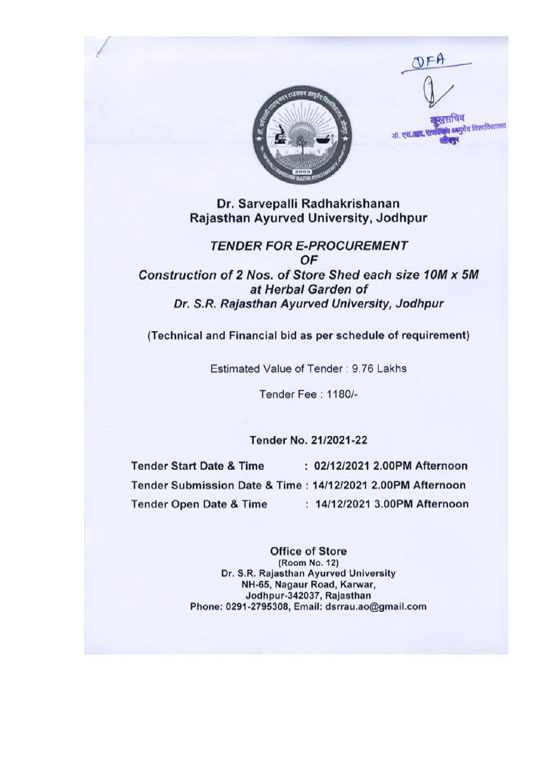**SCHLEE आयुर्वेद विश्वविद्यालय** off. एस. आण.

OFF

Dr. Sarvepalli Radhakrishanan Rajasthan Ayurved University, Jodhpur

**TENDER FOR E-PROCUREMENT** OF Construction of 2 Nos. of Store Shed each size 10M x 5M at Herbal Garden of Dr. S.R. Rajasthan Ayurved University, Jodhpur

(Technical and Financial bid as per schedule of requirement)

Estimated Value of Tender: 9.76 Lakhs

Tender Fee: 1180/-

Tender No. 21/2021-22

**Tender Start Date & Time** : 02/12/2021 2.00PM Afternoon Tender Submission Date & Time: 14/12/2021 2.00PM Afternoon : 14/12/2021 3.00PM Afternoon **Tender Open Date & Time** 

> **Office of Store** (Room No. 12) Dr. S.R. Rajasthan Ayurved University NH-65, Nagaur Road, Karwar, Jodhpur-342037, Rajasthan Phone: 0291-2795308, Email: dsrrau.ao@gmail.com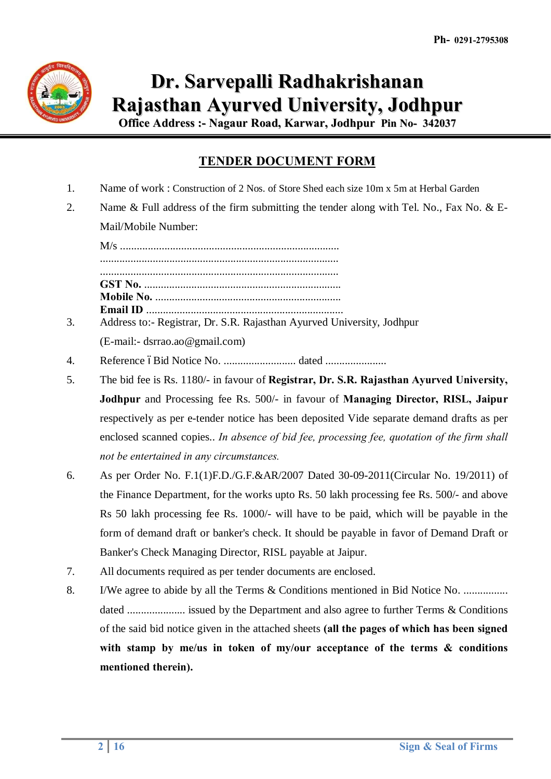

## **Dr. Sarvepalli Radhakrishanan Rajasthan Ayurved University, Jodhpur**

**Office Address :- Nagaur Road, Karwar, Jodhpur Pin No- 342037**

## **TENDER DOCUMENT FORM**

- 1. Name of work : Construction of 2 Nos. of Store Shed each size 10m x 5m at Herbal Garden
- 2. Name & Full address of the firm submitting the tender along with Tel. No., Fax No. & E-Mail/Mobile Number:

M/s ............................................................................... ...................................................................................... ...................................................................................... **GST No.** ....................................................................... **Mobile No.** ................................................................... **Email ID** .......................................................................

- 3. Address to:- Registrar, Dr. S.R. Rajasthan Ayurved University, Jodhpur (E-mail:- dsrrao.ao@gmail.com)
- 4. Reference –Bid Notice No. .......................... dated ......................
- 5. The bid fee is Rs. 1180/- in favour of **Registrar, Dr. S.R. Rajasthan Ayurved University, Jodhpur** and Processing fee Rs. 500/- in favour of **Managing Director, RISL, Jaipur** respectively as per e-tender notice has been deposited Vide separate demand drafts as per enclosed scanned copies.. *In absence of bid fee, processing fee, quotation of the firm shall not be entertained in any circumstances.*
- 6. As per Order No. F.1(1)F.D./G.F.&AR/2007 Dated 30-09-2011(Circular No. 19/2011) of the Finance Department, for the works upto Rs. 50 lakh processing fee Rs. 500/- and above Rs 50 lakh processing fee Rs. 1000/- will have to be paid, which will be payable in the form of demand draft or banker's check. It should be payable in favor of Demand Draft or Banker's Check Managing Director, RISL payable at Jaipur.
- 7. All documents required as per tender documents are enclosed.
- 8. I/We agree to abide by all the Terms & Conditions mentioned in Bid Notice No. ................. dated ..................... issued by the Department and also agree to further Terms & Conditions of the said bid notice given in the attached sheets **(all the pages of which has been signed with stamp by me/us in token of my/our acceptance of the terms & conditions mentioned therein).**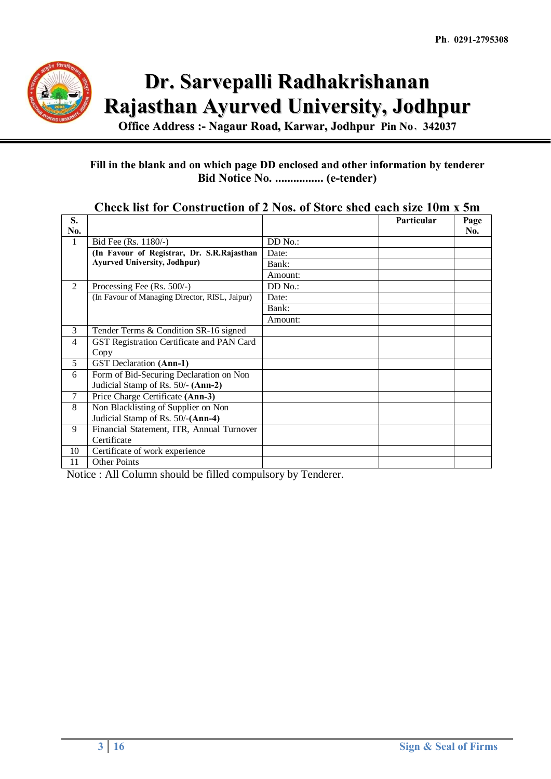

# **Dr. Sarvepalli Radhakrishanan Rajasthan Ayurved University, Jodhpur**

**Office Address :- Nagaur Road, Karwar, Jodhpur Pin No**- **342037**

#### **Fill in the blank and on which page DD enclosed and other information by tenderer Bid Notice No. ................ (e-tender)**

| S.             |                                                |           | Particular | Page |
|----------------|------------------------------------------------|-----------|------------|------|
| No.            |                                                |           |            | No.  |
|                | Bid Fee (Rs. 1180/-)                           | $DD$ No.: |            |      |
|                | (In Favour of Registrar, Dr. S.R.Rajasthan     | Date:     |            |      |
|                | <b>Ayurved University, Jodhpur)</b>            | Bank:     |            |      |
|                |                                                | Amount:   |            |      |
| 2              | Processing Fee $(Rs. 500/-)$                   | DD No.:   |            |      |
|                | (In Favour of Managing Director, RISL, Jaipur) | Date:     |            |      |
|                |                                                | Bank:     |            |      |
|                |                                                | Amount:   |            |      |
| 3              | Tender Terms & Condition SR-16 signed          |           |            |      |
| $\overline{4}$ | GST Registration Certificate and PAN Card      |           |            |      |
|                | Copy                                           |           |            |      |
| 5              | <b>GST</b> Declaration (Ann-1)                 |           |            |      |
| 6              | Form of Bid-Securing Declaration on Non        |           |            |      |
|                | Judicial Stamp of Rs. 50/- (Ann-2)             |           |            |      |
| 7              | Price Charge Certificate (Ann-3)               |           |            |      |
| 8              | Non Blacklisting of Supplier on Non            |           |            |      |
|                | Judicial Stamp of Rs. 50/-(Ann-4)              |           |            |      |
| 9              | Financial Statement, ITR, Annual Turnover      |           |            |      |
|                | Certificate                                    |           |            |      |
| 10             | Certificate of work experience                 |           |            |      |
| 11             | <b>Other Points</b>                            |           |            |      |

#### **Check list for Construction of 2 Nos. of Store shed each size 10m x 5m**

Notice : All Column should be filled compulsory by Tenderer.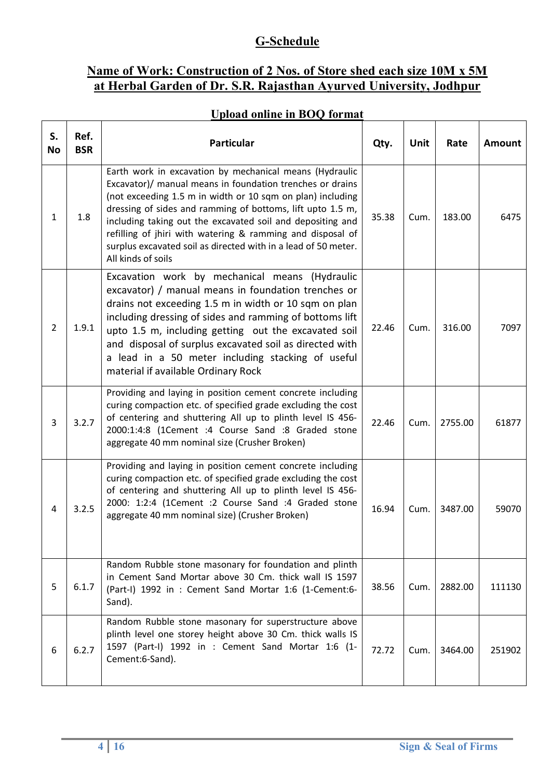## **G-Schedule**

## **Name of Work: Construction of 2 Nos. of Store shed each size 10M x 5M at Herbal Garden of Dr. S.R. Rajasthan Ayurved University, Jodhpur**

### **Upload online in BOQ format**

| S.<br><b>No</b> | Ref.<br><b>BSR</b> | Particular                                                                                                                                                                                                                                                                                                                                                                                                                                                           | Qty.  | Unit | Rate    | <b>Amount</b> |
|-----------------|--------------------|----------------------------------------------------------------------------------------------------------------------------------------------------------------------------------------------------------------------------------------------------------------------------------------------------------------------------------------------------------------------------------------------------------------------------------------------------------------------|-------|------|---------|---------------|
| 1               | 1.8                | Earth work in excavation by mechanical means (Hydraulic<br>Excavator)/ manual means in foundation trenches or drains<br>(not exceeding 1.5 m in width or 10 sqm on plan) including<br>dressing of sides and ramming of bottoms, lift upto 1.5 m,<br>including taking out the excavated soil and depositing and<br>refilling of jhiri with watering & ramming and disposal of<br>surplus excavated soil as directed with in a lead of 50 meter.<br>All kinds of soils | 35.38 | Cum. | 183.00  | 6475          |
| $\overline{2}$  | 1.9.1              | Excavation work by mechanical means (Hydraulic<br>excavator) / manual means in foundation trenches or<br>drains not exceeding 1.5 m in width or 10 sqm on plan<br>including dressing of sides and ramming of bottoms lift<br>upto 1.5 m, including getting out the excavated soil<br>and disposal of surplus excavated soil as directed with<br>a lead in a 50 meter including stacking of useful<br>material if available Ordinary Rock                             | 22.46 | Cum. | 316.00  | 7097          |
| 3               | 3.2.7              | Providing and laying in position cement concrete including<br>curing compaction etc. of specified grade excluding the cost<br>of centering and shuttering All up to plinth level IS 456-<br>2000:1:4:8 (1Cement :4 Course Sand :8 Graded stone<br>aggregate 40 mm nominal size (Crusher Broken)                                                                                                                                                                      | 22.46 | Cum. | 2755.00 | 61877         |
| 4               | 3.2.5              | Providing and laying in position cement concrete including<br>curing compaction etc. of specified grade excluding the cost<br>of centering and shuttering All up to plinth level IS 456-<br>2000: 1:2:4 (1Cement :2 Course Sand :4 Graded stone<br>aggregate 40 mm nominal size) (Crusher Broken)                                                                                                                                                                    | 16.94 | Cum. | 3487.00 | 59070         |
| 5               | 6.1.7              | Random Rubble stone masonary for foundation and plinth<br>in Cement Sand Mortar above 30 Cm. thick wall IS 1597<br>(Part-I) 1992 in : Cement Sand Mortar 1:6 (1-Cement:6-<br>Sand).                                                                                                                                                                                                                                                                                  | 38.56 | Cum. | 2882.00 | 111130        |
| 6               | 6.2.7              | Random Rubble stone masonary for superstructure above<br>plinth level one storey height above 30 Cm. thick walls IS<br>1597 (Part-I) 1992 in : Cement Sand Mortar 1:6 (1-<br>Cement:6-Sand).                                                                                                                                                                                                                                                                         | 72.72 | Cum. | 3464.00 | 251902        |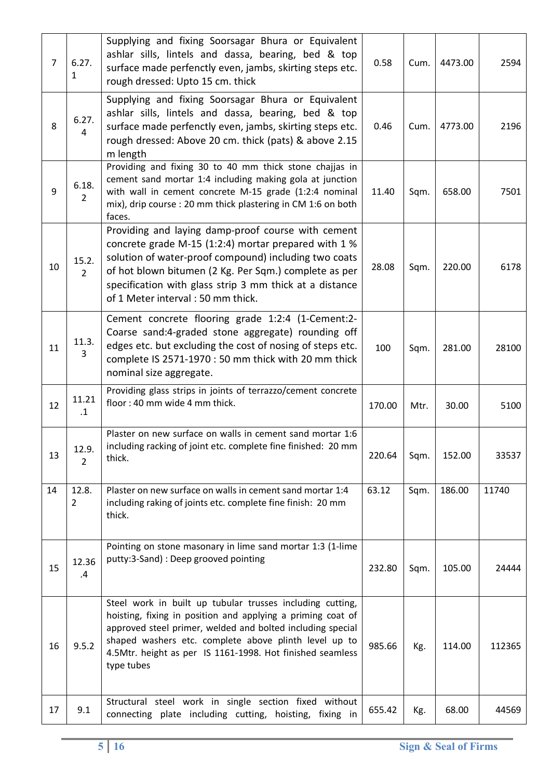| $\overline{7}$ | 6.27.<br>1              | Supplying and fixing Soorsagar Bhura or Equivalent<br>ashlar sills, lintels and dassa, bearing, bed & top<br>surface made perfenctly even, jambs, skirting steps etc.<br>rough dressed: Upto 15 cm. thick                                                                                                                    | 0.58   | Cum. | 4473.00 | 2594   |
|----------------|-------------------------|------------------------------------------------------------------------------------------------------------------------------------------------------------------------------------------------------------------------------------------------------------------------------------------------------------------------------|--------|------|---------|--------|
| 8              | 6.27.<br>4              | Supplying and fixing Soorsagar Bhura or Equivalent<br>ashlar sills, lintels and dassa, bearing, bed & top<br>surface made perfenctly even, jambs, skirting steps etc.<br>rough dressed: Above 20 cm. thick (pats) & above 2.15<br>m length                                                                                   | 0.46   | Cum. | 4773.00 | 2196   |
| 9              | 6.18.<br>$\overline{2}$ | Providing and fixing 30 to 40 mm thick stone chajjas in<br>cement sand mortar 1:4 including making gola at junction<br>with wall in cement concrete M-15 grade (1:2:4 nominal<br>mix), drip course : 20 mm thick plastering in CM 1:6 on both<br>faces.                                                                      | 11.40  | Sqm. | 658.00  | 7501   |
| 10             | 15.2.<br>$\overline{2}$ | Providing and laying damp-proof course with cement<br>concrete grade M-15 (1:2:4) mortar prepared with 1 %<br>solution of water-proof compound) including two coats<br>of hot blown bitumen (2 Kg. Per Sqm.) complete as per<br>specification with glass strip 3 mm thick at a distance<br>of 1 Meter interval: 50 mm thick. | 28.08  | Sqm. | 220.00  | 6178   |
| 11             | 11.3.<br>3              | Cement concrete flooring grade 1:2:4 (1-Cement:2-<br>Coarse sand:4-graded stone aggregate) rounding off<br>edges etc. but excluding the cost of nosing of steps etc.<br>complete IS 2571-1970 : 50 mm thick with 20 mm thick<br>nominal size aggregate.                                                                      | 100    | Sqm. | 281.00  | 28100  |
| 12             | 11.21<br>$\cdot$ 1      | Providing glass strips in joints of terrazzo/cement concrete<br>floor: 40 mm wide 4 mm thick.                                                                                                                                                                                                                                | 170.00 | Mtr. | 30.00   | 5100   |
| 13             | 12.9.<br>$\overline{2}$ | Plaster on new surface on walls in cement sand mortar 1:6<br>including racking of joint etc. complete fine finished: 20 mm<br>thick.                                                                                                                                                                                         | 220.64 | Sqm. | 152.00  | 33537  |
| 14             | 12.8.<br>2              | Plaster on new surface on walls in cement sand mortar 1:4<br>including raking of joints etc. complete fine finish: 20 mm<br>thick.                                                                                                                                                                                           | 63.12  | Sqm. | 186.00  | 11740  |
| 15             | 12.36<br>.4             | Pointing on stone masonary in lime sand mortar 1:3 (1-lime<br>putty:3-Sand) : Deep grooved pointing                                                                                                                                                                                                                          | 232.80 | Sqm. | 105.00  | 24444  |
| 16             | 9.5.2                   | Steel work in built up tubular trusses including cutting,<br>hoisting, fixing in position and applying a priming coat of<br>approved steel primer, welded and bolted including special<br>shaped washers etc. complete above plinth level up to<br>4.5Mtr. height as per IS 1161-1998. Hot finished seamless<br>type tubes   | 985.66 | Kg.  | 114.00  | 112365 |
| 17             | 9.1                     | Structural steel work in single section fixed without<br>connecting plate including cutting, hoisting, fixing in                                                                                                                                                                                                             | 655.42 | Kg.  | 68.00   | 44569  |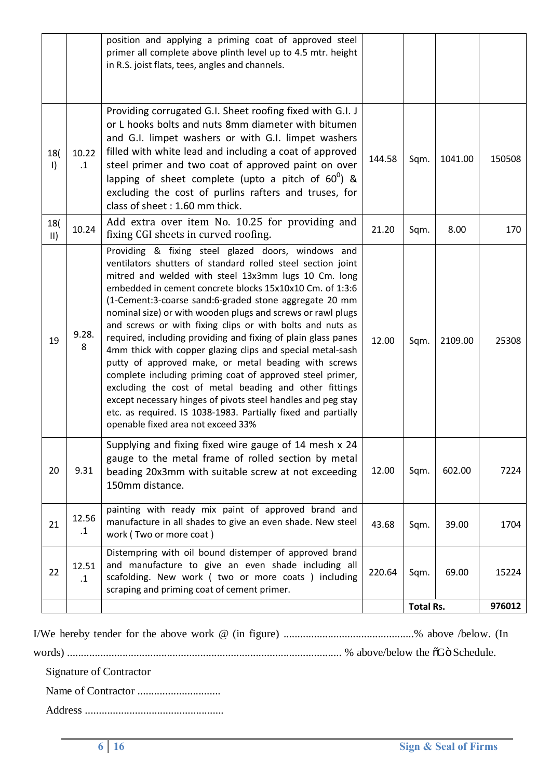|                      |                    | position and applying a priming coat of approved steel<br>primer all complete above plinth level up to 4.5 mtr. height<br>in R.S. joist flats, tees, angles and channels.                                                                                                                                                                                                                                                                                                                                                                                                                                                                                                                                                                                                                                                                                                                                        |        |                  |         |        |
|----------------------|--------------------|------------------------------------------------------------------------------------------------------------------------------------------------------------------------------------------------------------------------------------------------------------------------------------------------------------------------------------------------------------------------------------------------------------------------------------------------------------------------------------------------------------------------------------------------------------------------------------------------------------------------------------------------------------------------------------------------------------------------------------------------------------------------------------------------------------------------------------------------------------------------------------------------------------------|--------|------------------|---------|--------|
| 18(<br>$\vert$       | 10.22<br>$\cdot$ 1 | Providing corrugated G.I. Sheet roofing fixed with G.I. J<br>or L hooks bolts and nuts 8mm diameter with bitumen<br>and G.I. limpet washers or with G.I. limpet washers<br>filled with white lead and including a coat of approved<br>steel primer and two coat of approved paint on over<br>lapping of sheet complete (upto a pitch of $60^0$ ) &<br>excluding the cost of purlins rafters and truses, for<br>class of sheet: 1.60 mm thick.                                                                                                                                                                                                                                                                                                                                                                                                                                                                    | 144.58 | Sqm.             | 1041.00 | 150508 |
| 18(<br>$\mathsf{II}$ | 10.24              | Add extra over item No. 10.25 for providing and<br>fixing CGI sheets in curved roofing.                                                                                                                                                                                                                                                                                                                                                                                                                                                                                                                                                                                                                                                                                                                                                                                                                          | 21.20  | Sqm.             | 8.00    | 170    |
| 19                   | 9.28.<br>8         | Providing & fixing steel glazed doors, windows and<br>ventilators shutters of standard rolled steel section joint<br>mitred and welded with steel 13x3mm lugs 10 Cm. long<br>embedded in cement concrete blocks 15x10x10 Cm. of 1:3:6<br>(1-Cement:3-coarse sand:6-graded stone aggregate 20 mm<br>nominal size) or with wooden plugs and screws or rawl plugs<br>and screws or with fixing clips or with bolts and nuts as<br>required, including providing and fixing of plain glass panes<br>4mm thick with copper glazing clips and special metal-sash<br>putty of approved make, or metal beading with screws<br>complete including priming coat of approved steel primer,<br>excluding the cost of metal beading and other fittings<br>except necessary hinges of pivots steel handles and peg stay<br>etc. as required. IS 1038-1983. Partially fixed and partially<br>openable fixed area not exceed 33% | 12.00  | Sqm.             | 2109.00 | 25308  |
| 20                   | 9.31               | Supplying and fixing fixed wire gauge of 14 mesh x 24<br>gauge to the metal frame of rolled section by metal<br>beading 20x3mm with suitable screw at not exceeding<br>150mm distance.                                                                                                                                                                                                                                                                                                                                                                                                                                                                                                                                                                                                                                                                                                                           | 12.00  | Sqm.             | 602.00  | 7224   |
| 21                   | 12.56<br>$\cdot$ 1 | painting with ready mix paint of approved brand and<br>manufacture in all shades to give an even shade. New steel<br>work (Two or more coat)                                                                                                                                                                                                                                                                                                                                                                                                                                                                                                                                                                                                                                                                                                                                                                     | 43.68  | Sqm.             | 39.00   | 1704   |
| 22                   | 12.51<br>$\cdot$ 1 | Distempring with oil bound distemper of approved brand<br>and manufacture to give an even shade including all<br>scafolding. New work ( two or more coats ) including<br>scraping and priming coat of cement primer.                                                                                                                                                                                                                                                                                                                                                                                                                                                                                                                                                                                                                                                                                             | 220.64 | Sqm.             | 69.00   | 15224  |
|                      |                    |                                                                                                                                                                                                                                                                                                                                                                                                                                                                                                                                                                                                                                                                                                                                                                                                                                                                                                                  |        | <b>Total Rs.</b> |         | 976012 |

|--|--|--|--|--|--|--|--|--|--|--|--|--|--|--|

words) ................................................................................................... % above/below the "G" Schedule.

Signature of Contractor

Name of Contractor ..............................

Address ..................................................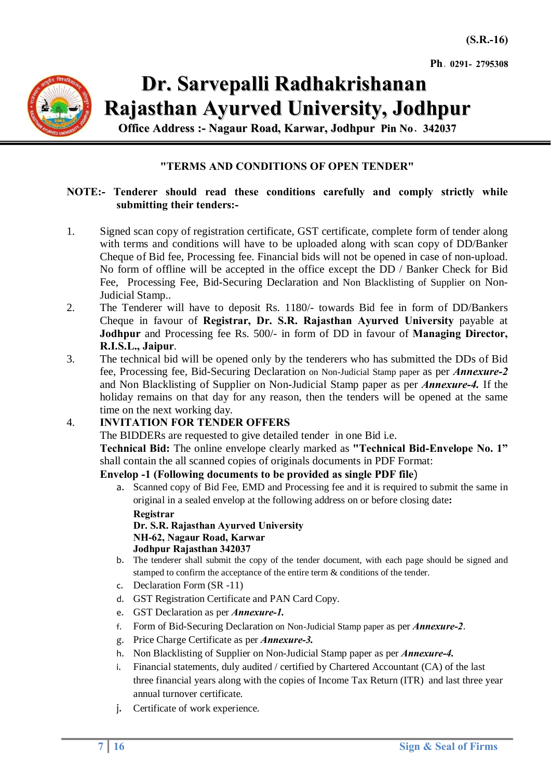

## **Dr. Sarvepalli Radhakrishanan Rajasthan Ayurved University, Jodhpur**

**Office Address :- Nagaur Road, Karwar, Jodhpur Pin No**- **342037**

#### **"TERMS AND CONDITIONS OF OPEN TENDER"**

#### **NOTE:- Tenderer should read these conditions carefully and comply strictly while submitting their tenders:-**

- 1. Signed scan copy of registration certificate, GST certificate, complete form of tender along with terms and conditions will have to be uploaded along with scan copy of DD/Banker Cheque of Bid fee, Processing fee. Financial bids will not be opened in case of non-upload. No form of offline will be accepted in the office except the DD / Banker Check for Bid Fee, Processing Fee, Bid-Securing Declaration and Non Blacklisting of Supplier on Non-Judicial Stamp..
- 2. The Tenderer will have to deposit Rs. 1180/- towards Bid fee in form of DD/Bankers Cheque in favour of **Registrar, Dr. S.R. Rajasthan Ayurved University** payable at **Jodhpur** and Processing fee Rs. 500/- in form of DD in favour of **Managing Director, R.I.S.L., Jaipur**.
- 3. The technical bid will be opened only by the tenderers who has submitted the DDs of Bid fee, Processing fee, Bid-Securing Declaration on Non-Judicial Stamp paper as per *Annexure-2*  and Non Blacklisting of Supplier on Non-Judicial Stamp paper as per *Annexure-4.* If the holiday remains on that day for any reason, then the tenders will be opened at the same time on the next working day.

#### 4. **INVITATION FOR TENDER OFFERS**

The BIDDERs are requested to give detailed tender in one Bid i.e.

**Technical Bid:** The online envelope clearly marked as **"Technical Bid-Envelope No. 1"** shall contain the all scanned copies of originals documents in PDF Format:

#### **Envelop -1 (Following documents to be provided as single PDF file**)

a. Scanned copy of Bid Fee, EMD and Processing fee and it is required to submit the same in original in a sealed envelop at the following address on or before closing date**:** 

**Registrar**

**Dr. S.R. Rajasthan Ayurved University NH-62, Nagaur Road, Karwar Jodhpur Rajasthan 342037**

- b. The tenderer shall submit the copy of the tender document, with each page should be signed and stamped to confirm the acceptance of the entire term & conditions of the tender.
- c. Declaration Form (SR -11)
- d. GST Registration Certificate and PAN Card Copy.
- e. GST Declaration as per *Annexure-1.*
- f. Form of Bid-Securing Declaration on Non-Judicial Stamp paper as per *Annexure-2*.
- g. Price Charge Certificate as per *Annexure-3.*
- h. Non Blacklisting of Supplier on Non-Judicial Stamp paper as per *Annexure-4.*
- i. Financial statements, duly audited / certified by Chartered Accountant (CA) of the last three financial years along with the copies of Income Tax Return (ITR) and last three year annual turnover certificate.
- j. Certificate of work experience.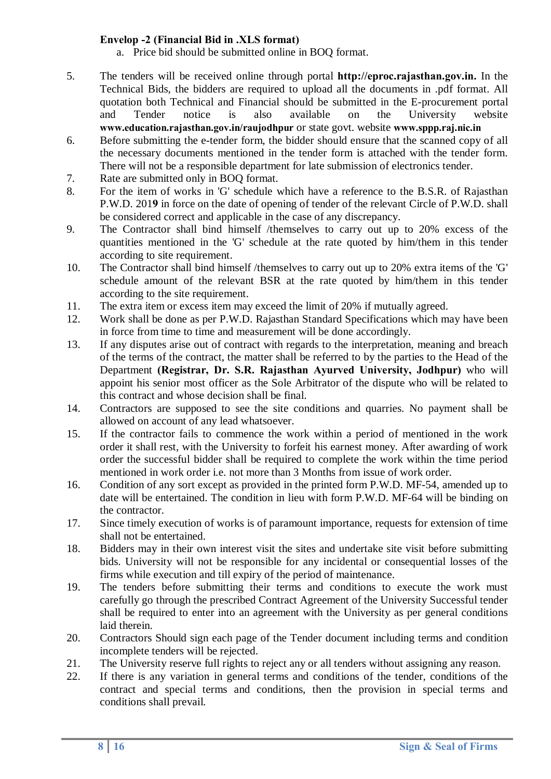#### **Envelop -2 (Financial Bid in .XLS format)**

- a. Price bid should be submitted online in BOQ format.
- 5. The tenders will be received online through portal **http://eproc.rajasthan.gov.in.** In the Technical Bids, the bidders are required to upload all the documents in .pdf format. All quotation both Technical and Financial should be submitted in the E-procurement portal and Tender notice is also available on the University website **www.education.rajasthan.gov.in/raujodhpur** or state govt. website **www.sppp.raj.nic.in**
- 6. Before submitting the e-tender form, the bidder should ensure that the scanned copy of all the necessary documents mentioned in the tender form is attached with the tender form. There will not be a responsible department for late submission of electronics tender.
- 7. Rate are submitted only in BOQ format.
- 8. For the item of works in 'G' schedule which have a reference to the B.S.R. of Rajasthan P.W.D. 201**9** in force on the date of opening of tender of the relevant Circle of P.W.D. shall be considered correct and applicable in the case of any discrepancy.
- 9. The Contractor shall bind himself /themselves to carry out up to 20% excess of the quantities mentioned in the 'G' schedule at the rate quoted by him/them in this tender according to site requirement.
- 10. The Contractor shall bind himself /themselves to carry out up to 20% extra items of the 'G' schedule amount of the relevant BSR at the rate quoted by him/them in this tender according to the site requirement.
- 11. The extra item or excess item may exceed the limit of 20% if mutually agreed.
- 12. Work shall be done as per P.W.D. Rajasthan Standard Specifications which may have been in force from time to time and measurement will be done accordingly.
- 13. If any disputes arise out of contract with regards to the interpretation, meaning and breach of the terms of the contract, the matter shall be referred to by the parties to the Head of the Department **(Registrar, Dr. S.R. Rajasthan Ayurved University, Jodhpur)** who will appoint his senior most officer as the Sole Arbitrator of the dispute who will be related to this contract and whose decision shall be final.
- 14. Contractors are supposed to see the site conditions and quarries. No payment shall be allowed on account of any lead whatsoever.
- 15. If the contractor fails to commence the work within a period of mentioned in the work order it shall rest, with the University to forfeit his earnest money. After awarding of work order the successful bidder shall be required to complete the work within the time period mentioned in work order i.e. not more than 3 Months from issue of work order.
- 16. Condition of any sort except as provided in the printed form P.W.D. MF-54, amended up to date will be entertained. The condition in lieu with form P.W.D. MF-64 will be binding on the contractor.
- 17. Since timely execution of works is of paramount importance, requests for extension of time shall not be entertained.
- 18. Bidders may in their own interest visit the sites and undertake site visit before submitting bids. University will not be responsible for any incidental or consequential losses of the firms while execution and till expiry of the period of maintenance.
- 19. The tenders before submitting their terms and conditions to execute the work must carefully go through the prescribed Contract Agreement of the University Successful tender shall be required to enter into an agreement with the University as per general conditions laid therein.
- 20. Contractors Should sign each page of the Tender document including terms and condition incomplete tenders will be rejected.
- 21. The University reserve full rights to reject any or all tenders without assigning any reason.
- 22. If there is any variation in general terms and conditions of the tender, conditions of the contract and special terms and conditions, then the provision in special terms and conditions shall prevail.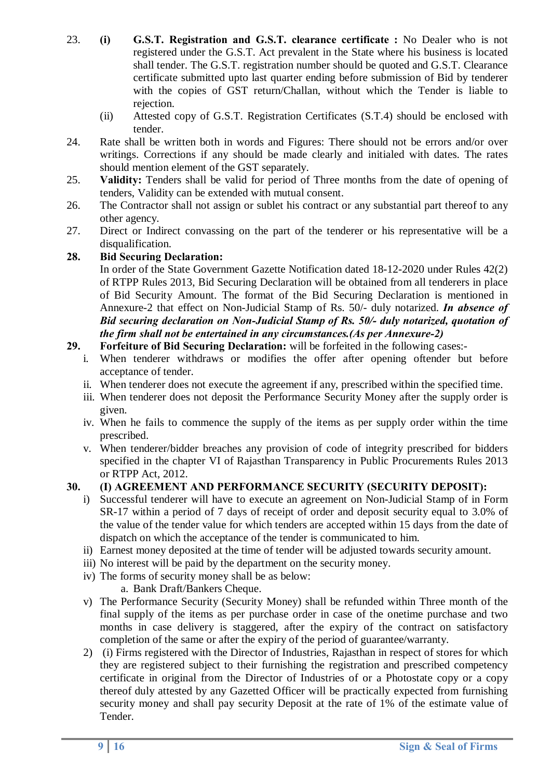- 23. **(i) G.S.T. Registration and G.S.T. clearance certificate :** No Dealer who is not registered under the G.S.T. Act prevalent in the State where his business is located shall tender. The G.S.T. registration number should be quoted and G.S.T. Clearance certificate submitted upto last quarter ending before submission of Bid by tenderer with the copies of GST return/Challan, without which the Tender is liable to rejection.
	- (ii) Attested copy of G.S.T. Registration Certificates (S.T.4) should be enclosed with tender.
- 24. Rate shall be written both in words and Figures: There should not be errors and/or over writings. Corrections if any should be made clearly and initialed with dates. The rates should mention element of the GST separately.
- 25. **Validity:** Tenders shall be valid for period of Three months from the date of opening of tenders, Validity can be extended with mutual consent.
- 26. The Contractor shall not assign or sublet his contract or any substantial part thereof to any other agency.
- 27. Direct or Indirect convassing on the part of the tenderer or his representative will be a disqualification.

#### **28. Bid Securing Declaration:**

In order of the State Government Gazette Notification dated 18-12-2020 under Rules 42(2) of RTPP Rules 2013, Bid Securing Declaration will be obtained from all tenderers in place of Bid Security Amount. The format of the Bid Securing Declaration is mentioned in Annexure-2 that effect on Non-Judicial Stamp of Rs. 50/- duly notarized. *In absence of Bid securing declaration on Non-Judicial Stamp of Rs. 50/- duly notarized, quotation of the firm shall not be entertained in any circumstances.(As per Annexure-2)*

#### **29. Forfeiture of Bid Securing Declaration:** will be forfeited in the following cases:-

- i. When tenderer withdraws or modifies the offer after opening oftender but before acceptance of tender.
- ii. When tenderer does not execute the agreement if any, prescribed within the specified time.
- iii. When tenderer does not deposit the Performance Security Money after the supply order is given.
- iv. When he fails to commence the supply of the items as per supply order within the time prescribed.
- v. When tenderer/bidder breaches any provision of code of integrity prescribed for bidders specified in the chapter VI of Rajasthan Transparency in Public Procurements Rules 2013 or RTPP Act, 2012.

#### **30. (I) AGREEMENT AND PERFORMANCE SECURITY (SECURITY DEPOSIT):**

- i) Successful tenderer will have to execute an agreement on Non-Judicial Stamp of in Form SR-17 within a period of 7 days of receipt of order and deposit security equal to 3.0% of the value of the tender value for which tenders are accepted within 15 days from the date of dispatch on which the acceptance of the tender is communicated to him.
- ii) Earnest money deposited at the time of tender will be adjusted towards security amount.
- iii) No interest will be paid by the department on the security money.
- iv) The forms of security money shall be as below:
	- a. Bank Draft/Bankers Cheque.
- v) The Performance Security (Security Money) shall be refunded within Three month of the final supply of the items as per purchase order in case of the onetime purchase and two months in case delivery is staggered, after the expiry of the contract on satisfactory completion of the same or after the expiry of the period of guarantee/warranty.
- 2) (i) Firms registered with the Director of Industries, Rajasthan in respect of stores for which they are registered subject to their furnishing the registration and prescribed competency certificate in original from the Director of Industries of or a Photostate copy or a copy thereof duly attested by any Gazetted Officer will be practically expected from furnishing security money and shall pay security Deposit at the rate of 1% of the estimate value of Tender.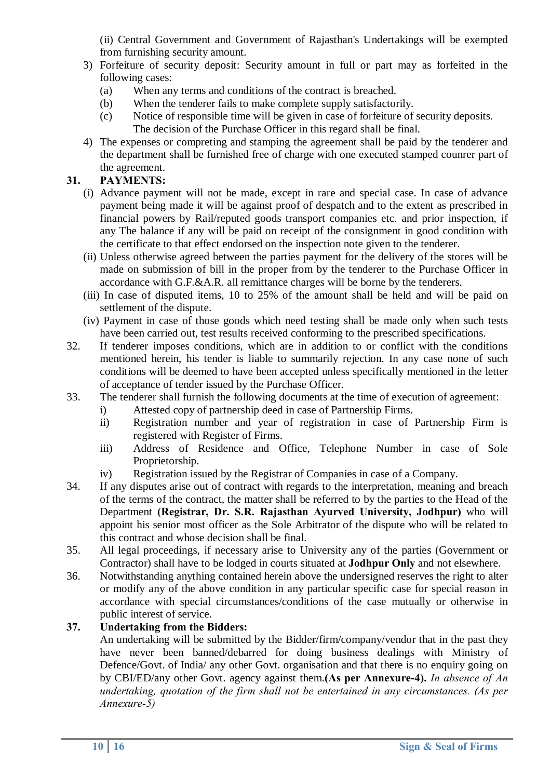(ii) Central Government and Government of Rajasthan's Undertakings will be exempted from furnishing security amount.

- 3) Forfeiture of security deposit: Security amount in full or part may as forfeited in the following cases:
	- (a) When any terms and conditions of the contract is breached.
	- (b) When the tenderer fails to make complete supply satisfactorily.
	- (c) Notice of responsible time will be given in case of forfeiture of security deposits. The decision of the Purchase Officer in this regard shall be final.
- 4) The expenses or compreting and stamping the agreement shall be paid by the tenderer and the department shall be furnished free of charge with one executed stamped counrer part of the agreement.

#### **31. PAYMENTS:**

- (i) Advance payment will not be made, except in rare and special case. In case of advance payment being made it will be against proof of despatch and to the extent as prescribed in financial powers by Rail/reputed goods transport companies etc. and prior inspection, if any The balance if any will be paid on receipt of the consignment in good condition with the certificate to that effect endorsed on the inspection note given to the tenderer.
- (ii) Unless otherwise agreed between the parties payment for the delivery of the stores will be made on submission of bill in the proper from by the tenderer to the Purchase Officer in accordance with G.F.&A.R. all remittance charges will be borne by the tenderers.
- (iii) In case of disputed items, 10 to 25% of the amount shall be held and will be paid on settlement of the dispute.
- (iv) Payment in case of those goods which need testing shall be made only when such tests have been carried out, test results received conforming to the prescribed specifications.
- 32. If tenderer imposes conditions, which are in addition to or conflict with the conditions mentioned herein, his tender is liable to summarily rejection. In any case none of such conditions will be deemed to have been accepted unless specifically mentioned in the letter of acceptance of tender issued by the Purchase Officer.
- 33. The tenderer shall furnish the following documents at the time of execution of agreement:
	- i) Attested copy of partnership deed in case of Partnership Firms.
	- ii) Registration number and year of registration in case of Partnership Firm is registered with Register of Firms.
	- iii) Address of Residence and Office, Telephone Number in case of Sole Proprietorship.
	- iv) Registration issued by the Registrar of Companies in case of a Company.
- 34. If any disputes arise out of contract with regards to the interpretation, meaning and breach of the terms of the contract, the matter shall be referred to by the parties to the Head of the Department **(Registrar, Dr. S.R. Rajasthan Ayurved University, Jodhpur)** who will appoint his senior most officer as the Sole Arbitrator of the dispute who will be related to this contract and whose decision shall be final.
- 35. All legal proceedings, if necessary arise to University any of the parties (Government or Contractor) shall have to be lodged in courts situated at **Jodhpur Only** and not elsewhere.
- 36. Notwithstanding anything contained herein above the undersigned reserves the right to alter or modify any of the above condition in any particular specific case for special reason in accordance with special circumstances/conditions of the case mutually or otherwise in public interest of service.

#### **37. Undertaking from the Bidders:**

An undertaking will be submitted by the Bidder/firm/company/vendor that in the past they have never been banned/debarred for doing business dealings with Ministry of Defence/Govt. of India/ any other Govt. organisation and that there is no enquiry going on by CBI/ED/any other Govt. agency against them.**(As per Annexure-4).** *In absence of An undertaking, quotation of the firm shall not be entertained in any circumstances. (As per Annexure-5)*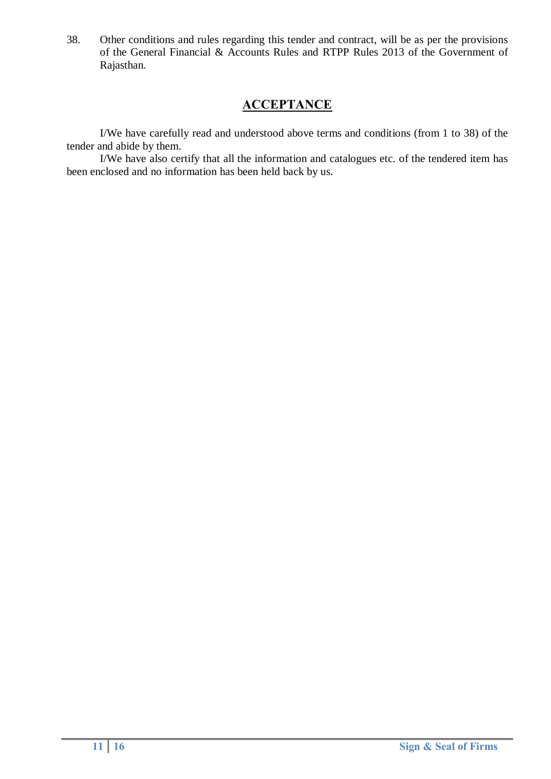38. Other conditions and rules regarding this tender and contract, will be as per the provisions of the General Financial & Accounts Rules and RTPP Rules 2013 of the Government of Rajasthan.

### **ACCEPTANCE**

I/We have carefully read and understood above terms and conditions (from 1 to 38) of the tender and abide by them.

I/We have also certify that all the information and catalogues etc. of the tendered item has been enclosed and no information has been held back by us.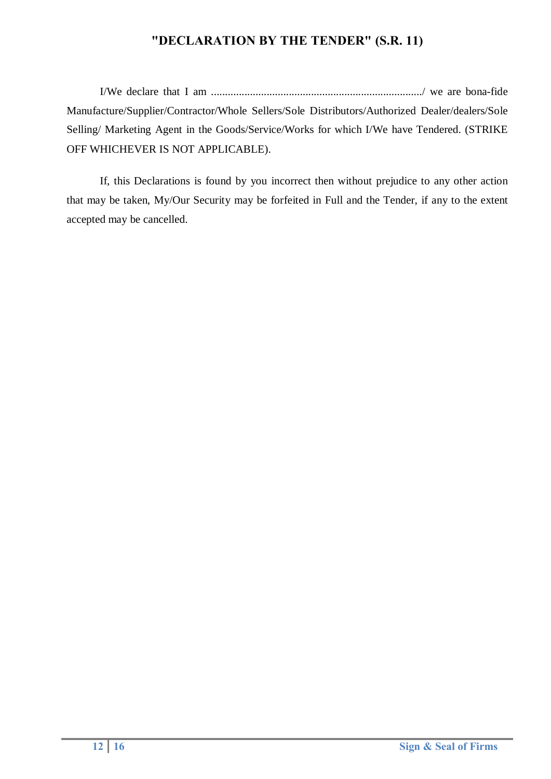## **"DECLARATION BY THE TENDER" (S.R. 11)**

I/We declare that I am ............................................................................/ we are bona-fide Manufacture/Supplier/Contractor/Whole Sellers/Sole Distributors/Authorized Dealer/dealers/Sole Selling/ Marketing Agent in the Goods/Service/Works for which I/We have Tendered. (STRIKE OFF WHICHEVER IS NOT APPLICABLE).

If, this Declarations is found by you incorrect then without prejudice to any other action that may be taken, My/Our Security may be forfeited in Full and the Tender, if any to the extent accepted may be cancelled.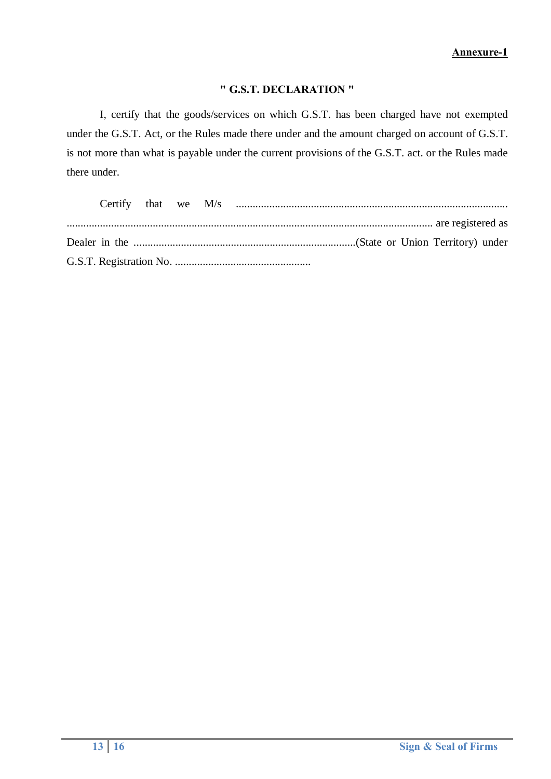#### **" G.S.T. DECLARATION "**

I, certify that the goods/services on which G.S.T. has been charged have not exempted under the G.S.T. Act, or the Rules made there under and the amount charged on account of G.S.T. is not more than what is payable under the current provisions of the G.S.T. act. or the Rules made there under.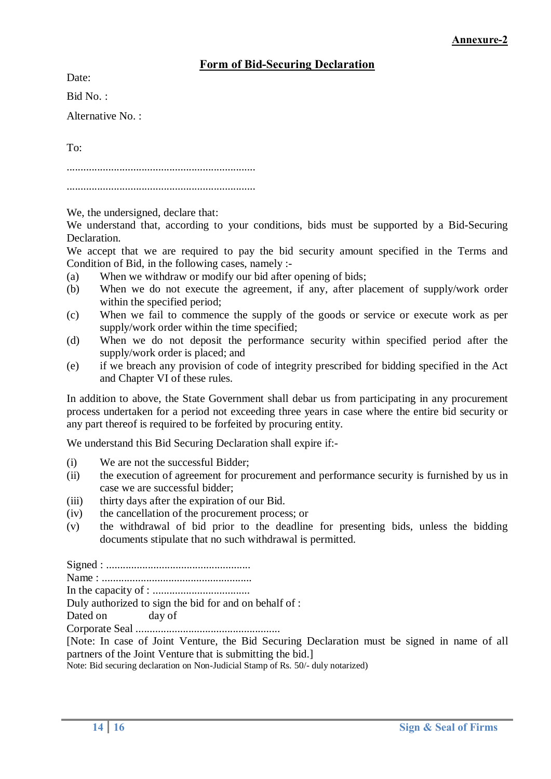#### **Form of Bid-Securing Declaration**

Date:

Bid No. :

Alternative No. :

To:

....................................................................

....................................................................

We, the undersigned, declare that:

We understand that, according to your conditions, bids must be supported by a Bid-Securing Declaration.

We accept that we are required to pay the bid security amount specified in the Terms and Condition of Bid, in the following cases, namely :-

- (a) When we withdraw or modify our bid after opening of bids;
- (b) When we do not execute the agreement, if any, after placement of supply/work order within the specified period:
- (c) When we fail to commence the supply of the goods or service or execute work as per supply/work order within the time specified;
- (d) When we do not deposit the performance security within specified period after the supply/work order is placed; and
- (e) if we breach any provision of code of integrity prescribed for bidding specified in the Act and Chapter VI of these rules.

In addition to above, the State Government shall debar us from participating in any procurement process undertaken for a period not exceeding three years in case where the entire bid security or any part thereof is required to be forfeited by procuring entity.

We understand this Bid Securing Declaration shall expire if:-

- (i) We are not the successful Bidder;
- (ii) the execution of agreement for procurement and performance security is furnished by us in case we are successful bidder;
- (iii) thirty days after the expiration of our Bid.
- (iv) the cancellation of the procurement process; or
- (v) the withdrawal of bid prior to the deadline for presenting bids, unless the bidding documents stipulate that no such withdrawal is permitted.

Signed : .................................................... Name : ......................................................

In the capacity of : ...................................

Duly authorized to sign the bid for and on behalf of :

Dated on day of

Corporate Seal ....................................................

[Note: In case of Joint Venture, the Bid Securing Declaration must be signed in name of all partners of the Joint Venture that is submitting the bid.]

Note: Bid securing declaration on Non-Judicial Stamp of Rs. 50/- duly notarized)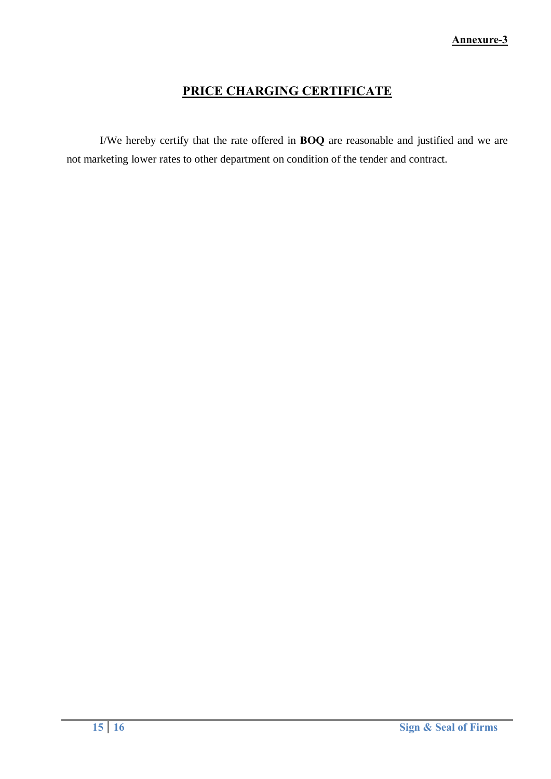## **PRICE CHARGING CERTIFICATE**

I/We hereby certify that the rate offered in **BOQ** are reasonable and justified and we are not marketing lower rates to other department on condition of the tender and contract.